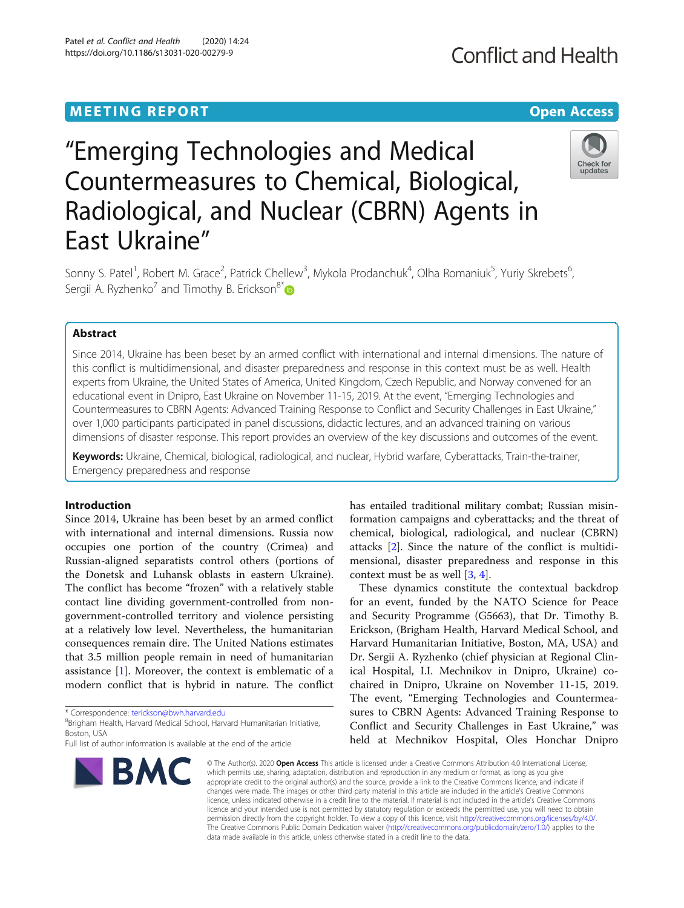### **MEETING REPORT CONSUMING A REPORT** And the construction of the consumption of the consumption of the consumption of the consumption of the consumption of the consumption of the consumption of the consumption of the consum

## **Conflict and Health**

## Check for updates

# "Emerging Technologies and Medical Countermeasures to Chemical, Biological, Radiological, and Nuclear (CBRN) Agents in East Ukraine"

Sonny S. Patel<sup>1</sup>, Robert M. Grace<sup>2</sup>, Patrick Chellew<sup>3</sup>, Mykola Prodanchuk<sup>4</sup>, Olha Romaniuk<sup>5</sup>, Yuriy Skrebets<sup>6</sup> י<br>, Sergii A. Ryzhenko<sup>7</sup> and Timothy B. Erickson<sup>8\*</sup>

#### Abstract

Since 2014, Ukraine has been beset by an armed conflict with international and internal dimensions. The nature of this conflict is multidimensional, and disaster preparedness and response in this context must be as well. Health experts from Ukraine, the United States of America, United Kingdom, Czech Republic, and Norway convened for an educational event in Dnipro, East Ukraine on November 11-15, 2019. At the event, "Emerging Technologies and Countermeasures to CBRN Agents: Advanced Training Response to Conflict and Security Challenges in East Ukraine," over 1,000 participants participated in panel discussions, didactic lectures, and an advanced training on various dimensions of disaster response. This report provides an overview of the key discussions and outcomes of the event.

Keywords: Ukraine, Chemical, biological, radiological, and nuclear, Hybrid warfare, Cyberattacks, Train-the-trainer, Emergency preparedness and response

#### Introduction

Since 2014, Ukraine has been beset by an armed conflict with international and internal dimensions. Russia now occupies one portion of the country (Crimea) and Russian-aligned separatists control others (portions of the Donetsk and Luhansk oblasts in eastern Ukraine). The conflict has become "frozen" with a relatively stable contact line dividing government-controlled from nongovernment-controlled territory and violence persisting at a relatively low level. Nevertheless, the humanitarian consequences remain dire. The United Nations estimates that 3.5 million people remain in need of humanitarian assistance [[1](#page-2-0)]. Moreover, the context is emblematic of a modern conflict that is hybrid in nature. The conflict

\* Correspondence: [terickson@bwh.harvard.edu](mailto:terickson@bwh.harvard.edu) <sup>8</sup>

<sup>8</sup>Brigham Health, Harvard Medical School, Harvard Humanitarian Initiative, Boston, USA

Full list of author information is available at the end of the article



has entailed traditional military combat; Russian misinformation campaigns and cyberattacks; and the threat of chemical, biological, radiological, and nuclear (CBRN) attacks [[2](#page-3-0)]. Since the nature of the conflict is multidimensional, disaster preparedness and response in this context must be as well [[3](#page-3-0), [4](#page-3-0)].

These dynamics constitute the contextual backdrop for an event, funded by the NATO Science for Peace and Security Programme (G5663), that Dr. Timothy B. Erickson, (Brigham Health, Harvard Medical School, and Harvard Humanitarian Initiative, Boston, MA, USA) and Dr. Sergii A. Ryzhenko (chief physician at Regional Clinical Hospital, I.I. Mechnikov in Dnipro, Ukraine) cochaired in Dnipro, Ukraine on November 11-15, 2019. The event, "Emerging Technologies and Countermeasures to CBRN Agents: Advanced Training Response to Conflict and Security Challenges in East Ukraine," was held at Mechnikov Hospital, Oles Honchar Dnipro

© The Author(s). 2020 Open Access This article is licensed under a Creative Commons Attribution 4.0 International License, which permits use, sharing, adaptation, distribution and reproduction in any medium or format, as long as you give appropriate credit to the original author(s) and the source, provide a link to the Creative Commons licence, and indicate if changes were made. The images or other third party material in this article are included in the article's Creative Commons licence, unless indicated otherwise in a credit line to the material. If material is not included in the article's Creative Commons licence and your intended use is not permitted by statutory regulation or exceeds the permitted use, you will need to obtain permission directly from the copyright holder. To view a copy of this licence, visit [http://creativecommons.org/licenses/by/4.0/.](http://creativecommons.org/licenses/by/4.0/) The Creative Commons Public Domain Dedication waiver [\(http://creativecommons.org/publicdomain/zero/1.0/](http://creativecommons.org/publicdomain/zero/1.0/)) applies to the data made available in this article, unless otherwise stated in a credit line to the data.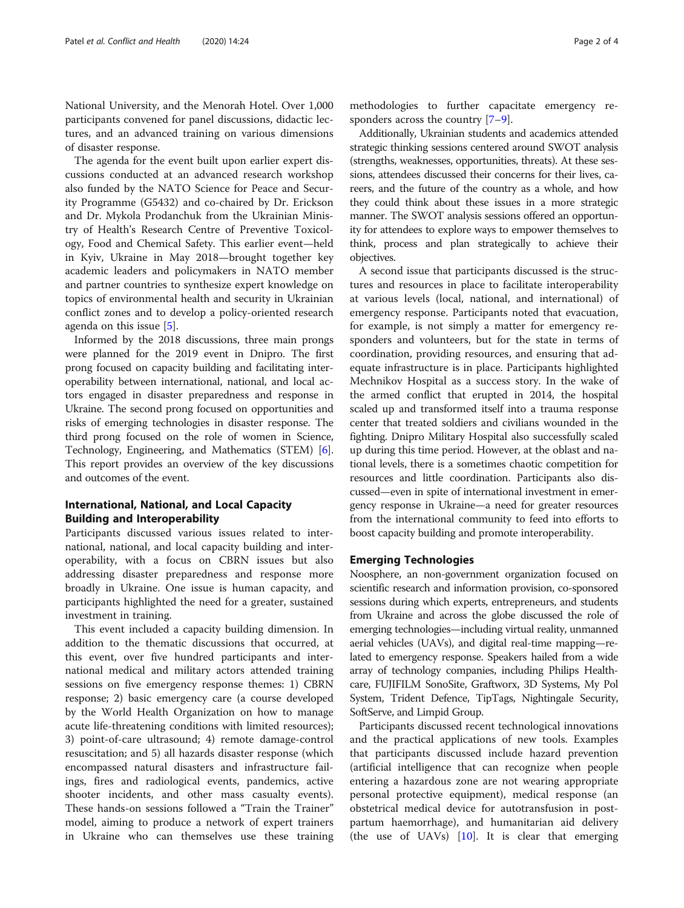National University, and the Menorah Hotel. Over 1,000 participants convened for panel discussions, didactic lectures, and an advanced training on various dimensions of disaster response.

The agenda for the event built upon earlier expert discussions conducted at an advanced research workshop also funded by the NATO Science for Peace and Security Programme (G5432) and co-chaired by Dr. Erickson and Dr. Mykola Prodanchuk from the Ukrainian Ministry of Health's Research Centre of Preventive Toxicology, Food and Chemical Safety. This earlier event—held in Kyiv, Ukraine in May 2018—brought together key academic leaders and policymakers in NATO member and partner countries to synthesize expert knowledge on topics of environmental health and security in Ukrainian conflict zones and to develop a policy-oriented research agenda on this issue [\[5](#page-3-0)].

Informed by the 2018 discussions, three main prongs were planned for the 2019 event in Dnipro. The first prong focused on capacity building and facilitating interoperability between international, national, and local actors engaged in disaster preparedness and response in Ukraine. The second prong focused on opportunities and risks of emerging technologies in disaster response. The third prong focused on the role of women in Science, Technology, Engineering, and Mathematics (STEM) [[6](#page-3-0)]. This report provides an overview of the key discussions and outcomes of the event.

#### International, National, and Local Capacity Building and Interoperability

Participants discussed various issues related to international, national, and local capacity building and interoperability, with a focus on CBRN issues but also addressing disaster preparedness and response more broadly in Ukraine. One issue is human capacity, and participants highlighted the need for a greater, sustained investment in training.

This event included a capacity building dimension. In addition to the thematic discussions that occurred, at this event, over five hundred participants and international medical and military actors attended training sessions on five emergency response themes: 1) CBRN response; 2) basic emergency care (a course developed by the World Health Organization on how to manage acute life-threatening conditions with limited resources); 3) point-of-care ultrasound; 4) remote damage-control resuscitation; and 5) all hazards disaster response (which encompassed natural disasters and infrastructure failings, fires and radiological events, pandemics, active shooter incidents, and other mass casualty events). These hands-on sessions followed a "Train the Trainer" model, aiming to produce a network of expert trainers in Ukraine who can themselves use these training methodologies to further capacitate emergency responders across the country [[7](#page-3-0)–[9\]](#page-3-0).

Additionally, Ukrainian students and academics attended strategic thinking sessions centered around SWOT analysis (strengths, weaknesses, opportunities, threats). At these sessions, attendees discussed their concerns for their lives, careers, and the future of the country as a whole, and how they could think about these issues in a more strategic manner. The SWOT analysis sessions offered an opportunity for attendees to explore ways to empower themselves to think, process and plan strategically to achieve their objectives.

A second issue that participants discussed is the structures and resources in place to facilitate interoperability at various levels (local, national, and international) of emergency response. Participants noted that evacuation, for example, is not simply a matter for emergency responders and volunteers, but for the state in terms of coordination, providing resources, and ensuring that adequate infrastructure is in place. Participants highlighted Mechnikov Hospital as a success story. In the wake of the armed conflict that erupted in 2014, the hospital scaled up and transformed itself into a trauma response center that treated soldiers and civilians wounded in the fighting. Dnipro Military Hospital also successfully scaled up during this time period. However, at the oblast and national levels, there is a sometimes chaotic competition for resources and little coordination. Participants also discussed—even in spite of international investment in emergency response in Ukraine—a need for greater resources from the international community to feed into efforts to boost capacity building and promote interoperability.

#### Emerging Technologies

Noosphere, an non-government organization focused on scientific research and information provision, co-sponsored sessions during which experts, entrepreneurs, and students from Ukraine and across the globe discussed the role of emerging technologies—including virtual reality, unmanned aerial vehicles (UAVs), and digital real-time mapping—related to emergency response. Speakers hailed from a wide array of technology companies, including Philips Healthcare, FUJIFILM SonoSite, Graftworx, 3D Systems, My Pol System, Trident Defence, TipTags, Nightingale Security, SoftServe, and Limpid Group.

Participants discussed recent technological innovations and the practical applications of new tools. Examples that participants discussed include hazard prevention (artificial intelligence that can recognize when people entering a hazardous zone are not wearing appropriate personal protective equipment), medical response (an obstetrical medical device for autotransfusion in postpartum haemorrhage), and humanitarian aid delivery (the use of UAVs) [[10](#page-3-0)]. It is clear that emerging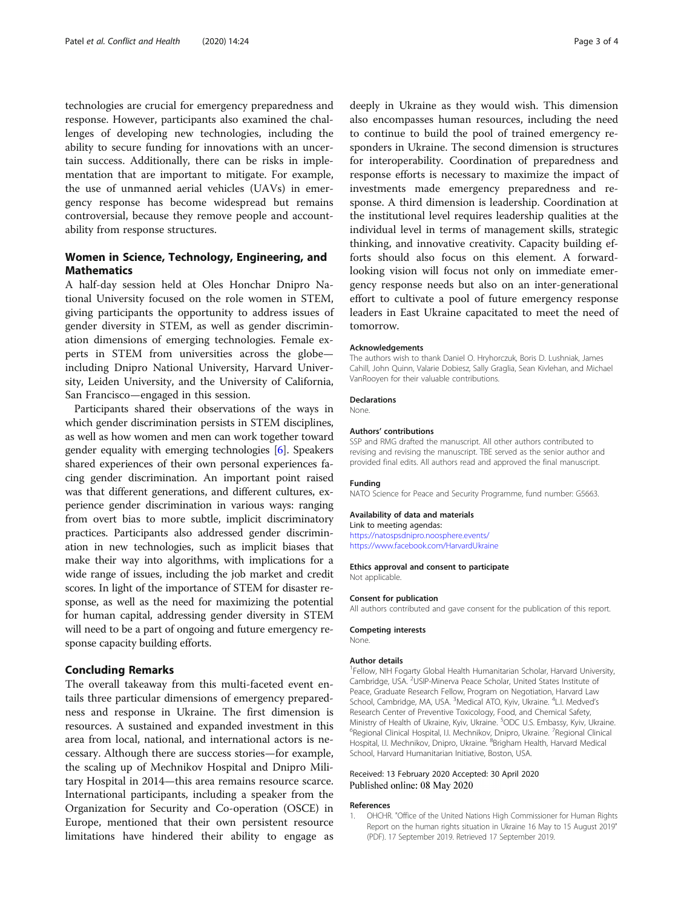<span id="page-2-0"></span>technologies are crucial for emergency preparedness and response. However, participants also examined the challenges of developing new technologies, including the ability to secure funding for innovations with an uncertain success. Additionally, there can be risks in implementation that are important to mitigate. For example, the use of unmanned aerial vehicles (UAVs) in emergency response has become widespread but remains controversial, because they remove people and accountability from response structures.

#### Women in Science, Technology, Engineering, and **Mathematics**

A half-day session held at Oles Honchar Dnipro National University focused on the role women in STEM, giving participants the opportunity to address issues of gender diversity in STEM, as well as gender discrimination dimensions of emerging technologies. Female experts in STEM from universities across the globe including Dnipro National University, Harvard University, Leiden University, and the University of California, San Francisco—engaged in this session.

Participants shared their observations of the ways in which gender discrimination persists in STEM disciplines, as well as how women and men can work together toward gender equality with emerging technologies [[6\]](#page-3-0). Speakers shared experiences of their own personal experiences facing gender discrimination. An important point raised was that different generations, and different cultures, experience gender discrimination in various ways: ranging from overt bias to more subtle, implicit discriminatory practices. Participants also addressed gender discrimination in new technologies, such as implicit biases that make their way into algorithms, with implications for a wide range of issues, including the job market and credit scores. In light of the importance of STEM for disaster response, as well as the need for maximizing the potential for human capital, addressing gender diversity in STEM will need to be a part of ongoing and future emergency response capacity building efforts.

#### Concluding Remarks

The overall takeaway from this multi-faceted event entails three particular dimensions of emergency preparedness and response in Ukraine. The first dimension is resources. A sustained and expanded investment in this area from local, national, and international actors is necessary. Although there are success stories—for example, the scaling up of Mechnikov Hospital and Dnipro Military Hospital in 2014—this area remains resource scarce. International participants, including a speaker from the Organization for Security and Co-operation (OSCE) in Europe, mentioned that their own persistent resource limitations have hindered their ability to engage as

deeply in Ukraine as they would wish. This dimension also encompasses human resources, including the need to continue to build the pool of trained emergency responders in Ukraine. The second dimension is structures for interoperability. Coordination of preparedness and response efforts is necessary to maximize the impact of investments made emergency preparedness and response. A third dimension is leadership. Coordination at the institutional level requires leadership qualities at the individual level in terms of management skills, strategic thinking, and innovative creativity. Capacity building efforts should also focus on this element. A forwardlooking vision will focus not only on immediate emergency response needs but also on an inter-generational effort to cultivate a pool of future emergency response leaders in East Ukraine capacitated to meet the need of tomorrow.

#### Acknowledgements

The authors wish to thank Daniel O. Hryhorczuk, Boris D. Lushniak, James Cahill, John Quinn, Valarie Dobiesz, Sally Graglia, Sean Kivlehan, and Michael VanRooyen for their valuable contributions.

#### Declarations

None.

#### Authors' contributions

SSP and RMG drafted the manuscript. All other authors contributed to revising and revising the manuscript. TBE served as the senior author and provided final edits. All authors read and approved the final manuscript.

#### Funding

NATO Science for Peace and Security Programme, fund number: G5663.

#### Availability of data and materials

Link to meeting agendas: <https://natospsdnipro.noosphere.events/>

<https://www.facebook.com/HarvardUkraine>

#### Ethics approval and consent to participate Not applicable.

#### Consent for publication

All authors contributed and gave consent for the publication of this report.

#### Competing interests

None.

#### Author details

<sup>1</sup>Fellow, NIH Fogarty Global Health Humanitarian Scholar, Harvard University Cambridge, USA. <sup>2</sup>USIP-Minerva Peace Scholar, United States Institute of Peace, Graduate Research Fellow, Program on Negotiation, Harvard Law School, Cambridge, MA, USA. <sup>3</sup>Medical ATO, Kyiv, Ukraine. <sup>4</sup>L.I. Medved's Research Center of Preventive Toxicology, Food, and Chemical Safety, Ministry of Health of Ukraine, Kyiv, Ukraine. <sup>5</sup>ODC U.S. Embassy, Kyiv, Ukraine.<br><sup>6</sup> Pogional Clinical Hespital II, Mechnikov, Dnipro, Ukraine. <sup>7</sup> Pogional Clinical. Regional Clinical Hospital, I.I. Mechnikov, Dnipro, Ukraine. <sup>7</sup>Regional Clinical Hospital, I.I. Mechnikov, Dnipro, Ukraine. <sup>8</sup>Brigham Health, Harvard Medical School, Harvard Humanitarian Initiative, Boston, USA.

#### Received: 13 February 2020 Accepted: 30 April 2020 Published online: 08 May 2020

#### References

1. OHCHR. "Office of the United Nations High Commissioner for Human Rights Report on the human rights situation in Ukraine 16 May to 15 August 2019" (PDF). 17 September 2019. Retrieved 17 September 2019.